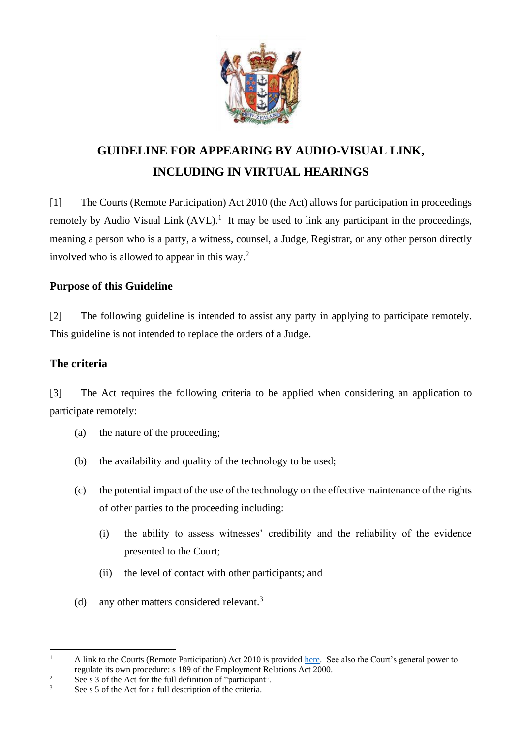

# **GUIDELINE FOR APPEARING BY AUDIO-VISUAL LINK, INCLUDING IN VIRTUAL HEARINGS**

[1] The Courts (Remote Participation) Act 2010 (the Act) allows for participation in proceedings remotely by Audio Visual Link  $(AVL)$ .<sup>1</sup> It may be used to link any participant in the proceedings, meaning a person who is a party, a witness, counsel, a Judge, Registrar, or any other person directly involved who is allowed to appear in this way.<sup>2</sup>

# **Purpose of this Guideline**

[2] The following guideline is intended to assist any party in applying to participate remotely. This guideline is not intended to replace the orders of a Judge.

# **The criteria**

[3] The Act requires the following criteria to be applied when considering an application to participate remotely:

- (a) the nature of the proceeding;
- (b) the availability and quality of the technology to be used;
- (c) the potential impact of the use of the technology on the effective maintenance of the rights of other parties to the proceeding including:
	- (i) the ability to assess witnesses' credibility and the reliability of the evidence presented to the Court;
	- (ii) the level of contact with other participants; and
- (d) any other matters considered relevant.<sup>3</sup>

<sup>&</sup>lt;sup>1</sup> A link to the Courts (Remote Participation) Act 2010 is provided [here.](https://www.legislation.govt.nz/act/public/2010/0094/latest/DLM2600709.html) See also the Court's general power to regulate its own procedure: s 189 of the Employment Relations Act 2000.

<sup>&</sup>lt;sup>2</sup> See s 3 of the Act for the full definition of "participant".<br>
<sup>3</sup> See s 5 of the Act for a full deceription of the exiteria

See s 5 of the Act for a full description of the criteria.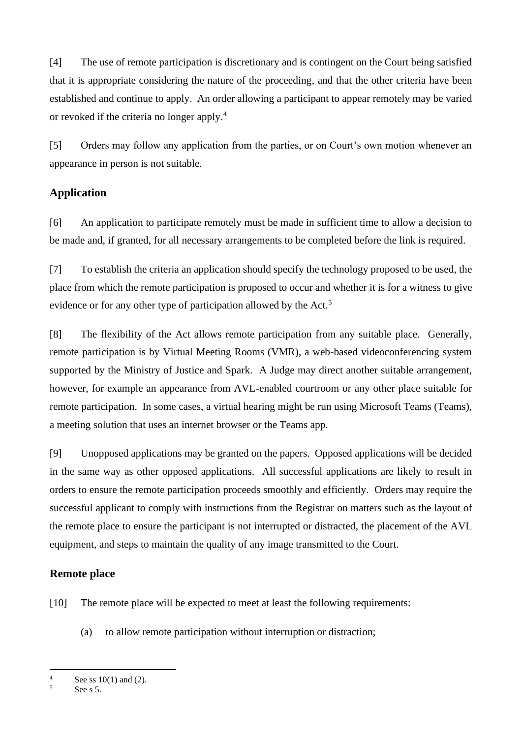[4] The use of remote participation is discretionary and is contingent on the Court being satisfied that it is appropriate considering the nature of the proceeding, and that the other criteria have been established and continue to apply. An order allowing a participant to appear remotely may be varied or revoked if the criteria no longer apply.<sup>4</sup>

[5] Orders may follow any application from the parties, or on Court's own motion whenever an appearance in person is not suitable.

# **Application**

[6] An application to participate remotely must be made in sufficient time to allow a decision to be made and, if granted, for all necessary arrangements to be completed before the link is required.

[7] To establish the criteria an application should specify the technology proposed to be used, the place from which the remote participation is proposed to occur and whether it is for a witness to give evidence or for any other type of participation allowed by the Act.<sup>5</sup>

[8] The flexibility of the Act allows remote participation from any suitable place. Generally, remote participation is by Virtual Meeting Rooms (VMR), a web-based videoconferencing system supported by the Ministry of Justice and Spark. A Judge may direct another suitable arrangement, however, for example an appearance from AVL-enabled courtroom or any other place suitable for remote participation. In some cases, a virtual hearing might be run using Microsoft Teams (Teams), a meeting solution that uses an internet browser or the Teams app.

[9] Unopposed applications may be granted on the papers. Opposed applications will be decided in the same way as other opposed applications. All successful applications are likely to result in orders to ensure the remote participation proceeds smoothly and efficiently. Orders may require the successful applicant to comply with instructions from the Registrar on matters such as the layout of the remote place to ensure the participant is not interrupted or distracted, the placement of the AVL equipment, and steps to maintain the quality of any image transmitted to the Court.

# **Remote place**

[10] The remote place will be expected to meet at least the following requirements:

(a) to allow remote participation without interruption or distraction;

 $\frac{4}{5}$  See ss 10(1) and (2).

See  $s$  5.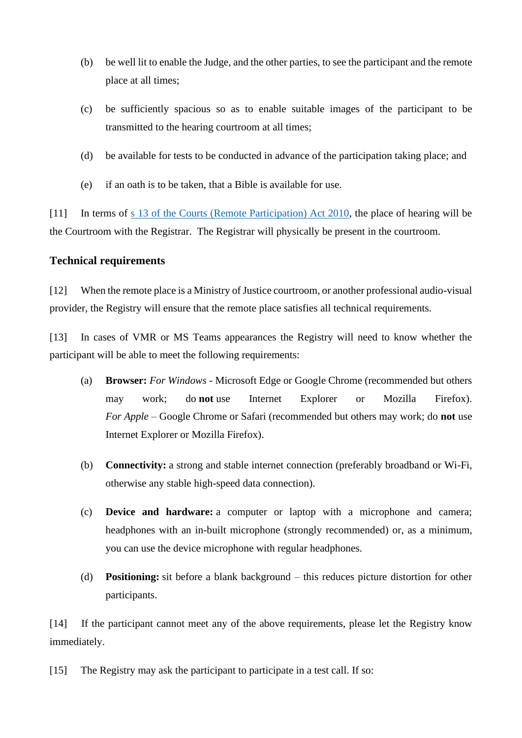- (b) be well lit to enable the Judge, and the other parties, to see the participant and the remote place at all times;
- (c) be sufficiently spacious so as to enable suitable images of the participant to be transmitted to the hearing courtroom at all times;
- (d) be available for tests to be conducted in advance of the participation taking place; and
- (e) if an oath is to be taken, that a Bible is available for use.

[11] In terms of [s 13 of the Courts \(Remote Participation\) Act 2010,](http://legislation.govt.nz/act/public/2010/0094/latest/DLM2600764.html) the place of hearing will be the Courtroom with the Registrar. The Registrar will physically be present in the courtroom.

## **Technical requirements**

[12] When the remote place is a Ministry of Justice courtroom, or another professional audio-visual provider, the Registry will ensure that the remote place satisfies all technical requirements.

[13] In cases of VMR or MS Teams appearances the Registry will need to know whether the participant will be able to meet the following requirements:

- (a) **Browser:** *For Windows* Microsoft Edge or Google Chrome (recommended but others may work; do **not** use Internet Explorer or Mozilla Firefox). *For Apple* – Google Chrome or Safari (recommended but others may work; do **not** use Internet Explorer or Mozilla Firefox).
- (b) **Connectivity:** a strong and stable internet connection (preferably broadband or Wi-Fi, otherwise any stable high-speed data connection).
- (c) **Device and hardware:** a computer or laptop with a microphone and camera; headphones with an in-built microphone (strongly recommended) or, as a minimum, you can use the device microphone with regular headphones.
- (d) **Positioning:** sit before a blank background this reduces picture distortion for other participants.

[14] If the participant cannot meet any of the above requirements, please let the Registry know immediately.

[15] The Registry may ask the participant to participate in a test call. If so: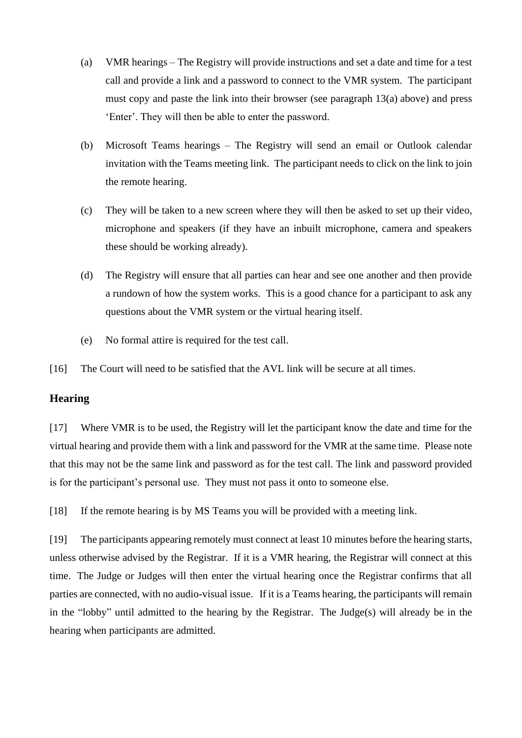- (a) VMR hearings The Registry will provide instructions and set a date and time for a test call and provide a link and a password to connect to the VMR system. The participant must copy and paste the link into their browser (see paragraph  $13(a)$  above) and press 'Enter'. They will then be able to enter the password.
- (b) Microsoft Teams hearings The Registry will send an email or Outlook calendar invitation with the Teams meeting link. The participant needs to click on the link to join the remote hearing.
- (c) They will be taken to a new screen where they will then be asked to set up their video, microphone and speakers (if they have an inbuilt microphone, camera and speakers these should be working already).
- (d) The Registry will ensure that all parties can hear and see one another and then provide a rundown of how the system works. This is a good chance for a participant to ask any questions about the VMR system or the virtual hearing itself.
- (e) No formal attire is required for the test call.

[16] The Court will need to be satisfied that the AVL link will be secure at all times.

## **Hearing**

[17] Where VMR is to be used, the Registry will let the participant know the date and time for the virtual hearing and provide them with a link and password for the VMR at the same time. Please note that this may not be the same link and password as for the test call. The link and password provided is for the participant's personal use. They must not pass it onto to someone else.

[18] If the remote hearing is by MS Teams you will be provided with a meeting link.

[19] The participants appearing remotely must connect at least 10 minutes before the hearing starts, unless otherwise advised by the Registrar. If it is a VMR hearing, the Registrar will connect at this time. The Judge or Judges will then enter the virtual hearing once the Registrar confirms that all parties are connected, with no audio-visual issue. If it is a Teams hearing, the participants will remain in the "lobby" until admitted to the hearing by the Registrar. The Judge(s) will already be in the hearing when participants are admitted.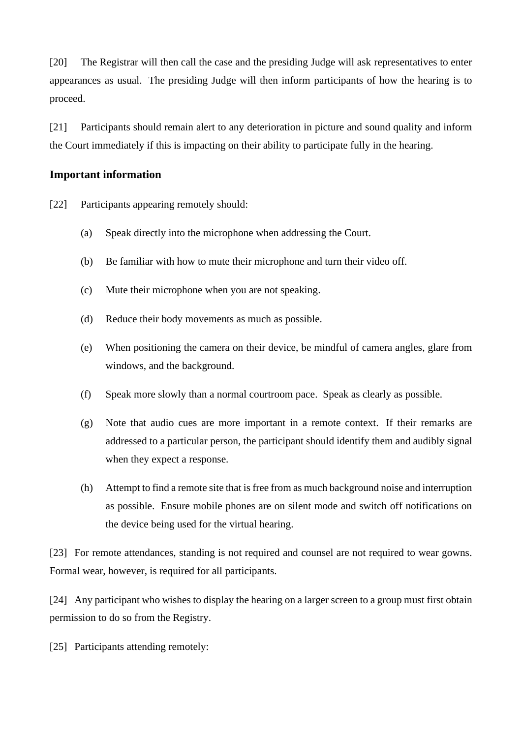[20] The Registrar will then call the case and the presiding Judge will ask representatives to enter appearances as usual. The presiding Judge will then inform participants of how the hearing is to proceed.

[21] Participants should remain alert to any deterioration in picture and sound quality and inform the Court immediately if this is impacting on their ability to participate fully in the hearing.

### **Important information**

[22] Participants appearing remotely should:

- (a) Speak directly into the microphone when addressing the Court.
- (b) Be familiar with how to mute their microphone and turn their video off.
- (c) Mute their microphone when you are not speaking.
- (d) Reduce their body movements as much as possible.
- (e) When positioning the camera on their device, be mindful of camera angles, glare from windows, and the background.
- (f) Speak more slowly than a normal courtroom pace. Speak as clearly as possible.
- (g) Note that audio cues are more important in a remote context. If their remarks are addressed to a particular person, the participant should identify them and audibly signal when they expect a response.
- (h) Attempt to find a remote site that is free from as much background noise and interruption as possible. Ensure mobile phones are on silent mode and switch off notifications on the device being used for the virtual hearing.

[23] For remote attendances, standing is not required and counsel are not required to wear gowns. Formal wear, however, is required for all participants.

[24] Any participant who wishes to display the hearing on a larger screen to a group must first obtain permission to do so from the Registry.

[25] Participants attending remotely: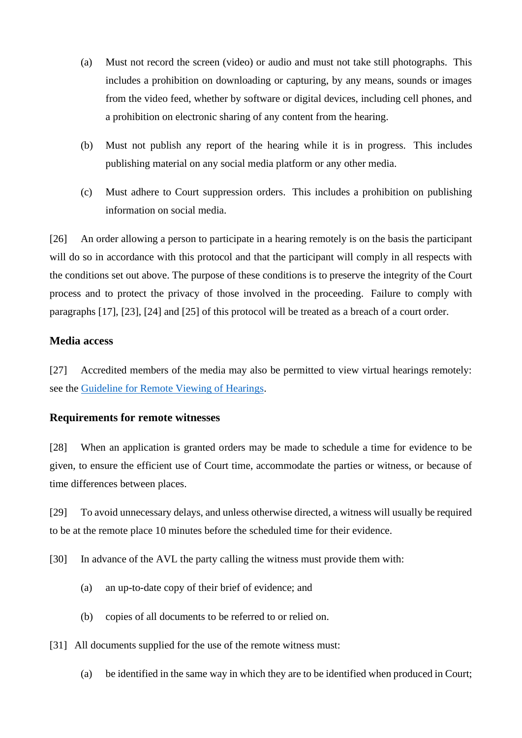- (a) Must not record the screen (video) or audio and must not take still photographs. This includes a prohibition on downloading or capturing, by any means, sounds or images from the video feed, whether by software or digital devices, including cell phones, and a prohibition on electronic sharing of any content from the hearing.
- (b) Must not publish any report of the hearing while it is in progress. This includes publishing material on any social media platform or any other media.
- (c) Must adhere to Court suppression orders. This includes a prohibition on publishing information on social media.

[26] An order allowing a person to participate in a hearing remotely is on the basis the participant will do so in accordance with this protocol and that the participant will comply in all respects with the conditions set out above. The purpose of these conditions is to preserve the integrity of the Court process and to protect the privacy of those involved in the proceeding. Failure to comply with paragraphs [17], [23], [24] and [25] of this protocol will be treated as a breach of a court order.

## **Media access**

[27] Accredited members of the media may also be permitted to view virtual hearings remotely: see the Guideline [for Remote Viewing of Hearings.](https://www.employmentcourt.govt.nz/info-guidance/media/)

#### **Requirements for remote witnesses**

[28] When an application is granted orders may be made to schedule a time for evidence to be given, to ensure the efficient use of Court time, accommodate the parties or witness, or because of time differences between places.

[29] To avoid unnecessary delays, and unless otherwise directed, a witness will usually be required to be at the remote place 10 minutes before the scheduled time for their evidence.

[30] In advance of the AVL the party calling the witness must provide them with:

- (a) an up-to-date copy of their brief of evidence; and
- (b) copies of all documents to be referred to or relied on.
- [31] All documents supplied for the use of the remote witness must:
	- (a) be identified in the same way in which they are to be identified when produced in Court;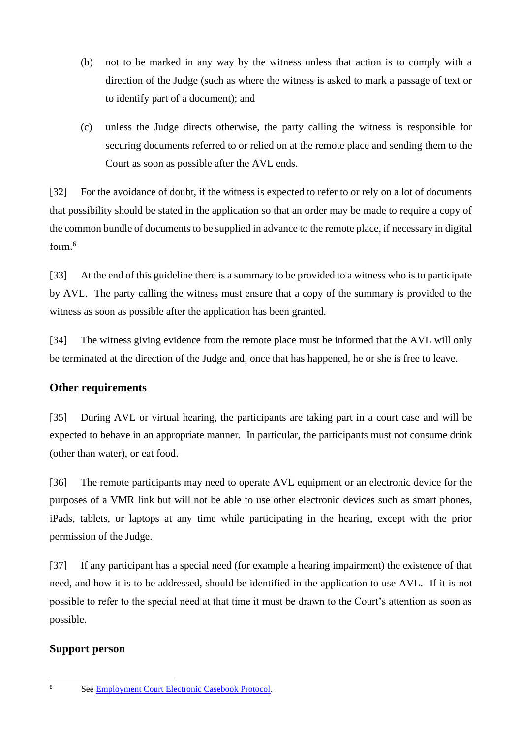- (b) not to be marked in any way by the witness unless that action is to comply with a direction of the Judge (such as where the witness is asked to mark a passage of text or to identify part of a document); and
- (c) unless the Judge directs otherwise, the party calling the witness is responsible for securing documents referred to or relied on at the remote place and sending them to the Court as soon as possible after the AVL ends.

[32] For the avoidance of doubt, if the witness is expected to refer to or rely on a lot of documents that possibility should be stated in the application so that an order may be made to require a copy of the common bundle of documents to be supplied in advance to the remote place, if necessary in digital form. 6

[33] At the end of this guideline there is a summary to be provided to a witness who is to participate by AVL. The party calling the witness must ensure that a copy of the summary is provided to the witness as soon as possible after the application has been granted.

[34] The witness giving evidence from the remote place must be informed that the AVL will only be terminated at the direction of the Judge and, once that has happened, he or she is free to leave.

# **Other requirements**

[35] During AVL or virtual hearing, the participants are taking part in a court case and will be expected to behave in an appropriate manner. In particular, the participants must not consume drink (other than water), or eat food.

[36] The remote participants may need to operate AVL equipment or an electronic device for the purposes of a VMR link but will not be able to use other electronic devices such as smart phones, iPads, tablets, or laptops at any time while participating in the hearing, except with the prior permission of the Judge.

[37] If any participant has a special need (for example a hearing impairment) the existence of that need, and how it is to be addressed, should be identified in the application to use AVL. If it is not possible to refer to the special need at that time it must be drawn to the Court's attention as soon as possible.

## **Support person**

<sup>6</sup> Se[e Employment Court Electronic Casebook Protocol.](https://employmentcourt.govt.nz/assets/Documents/Publications/Employment-Court-E-Document-Protocol-2021-FINAL.pdf)